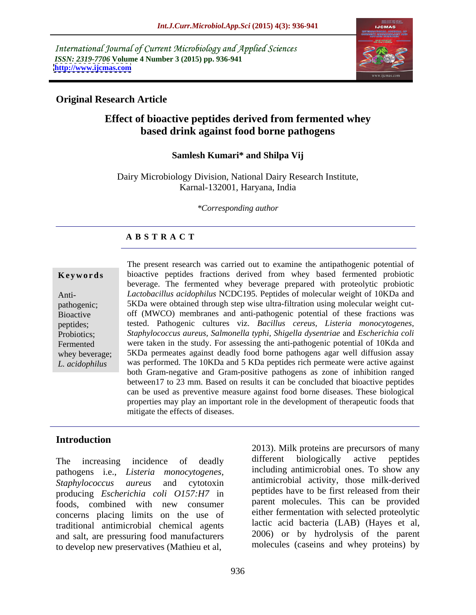International Journal of Current Microbiology and Applied Sciences *ISSN: 2319-7706* **Volume 4 Number 3 (2015) pp. 936-941 <http://www.ijcmas.com>**



### **Original Research Article**

## **Effect of bioactive peptides derived from fermented whey based drink against food borne pathogens**

### **Samlesh Kumari\* and Shilpa Vij**

Dairy Microbiology Division, National Dairy Research Institute, Karnal-132001, Haryana, India

*\*Corresponding author*

## **A B S T R A C T**

The present research was carried out to examine the antipathogenic potential of **Keywords** bioactive peptides fractions derived from whey based fermented probiotic beverage. The fermented whey beverage prepared with proteolytic probiotic *Lactobacillus acidophilus* NCDC195. Peptides of molecular weight of 10KDa and Anti pathogenic; 5KDa were obtained through step wise ultra-filtration using molecular weight cutoff (MWCO) membranes and anti-pathogenic potential of these fractions was Bioactive tested. Pathogenic cultures viz. *Bacillus cereus, Listeria monocytogenes,* peptides; *Staphylococcus aureus, Salmonella typhi, Shigella dysentriae* and *Escherichia coli* Probiotics; Fermented were taken in the study. For assessing the anti-pathogenic potential of 10Kda and whey beverage; 5KDa permeates against deadly food borne pathogens agar well diffusion assay was performed. The 10KDa and 5 KDa peptides rich permeate were active against *L. acidophilus*  both Gram-negative and Gram-positive pathogens as zone of inhibition ranged between17 to 23 mm. Based on results it can be concluded that bioactive peptides can be used as preventive measure against food borne diseases. These biological properties may play an important role in the development of therapeutic foods that mitigate the effects of diseases.

### **Introduction**

The increasing incidence of deadly different biologically active peptides pathogens i.e., *Listeria monocytogenes, Staphylococcus aureus* and cytotoxin antimicrobial activity, those milk-derived producing *Escherichia coli O157:H7* in foods, combined with new consumer concerns placing limits on the use of traditional antimicrobial chemical agents and salt, are pressuring food manufacturers to develop new preservatives (Mathieu et al,

2013). Milk proteins are precursors of many different biologically active peptides including antimicrobial ones. To show any peptides have to be first released from their parent molecules. This can be provided either fermentation with selected proteolytic lactic acid bacteria (LAB) (Hayes et al, 2006) or by hydrolysis of the parent molecules (caseins and whey proteins) by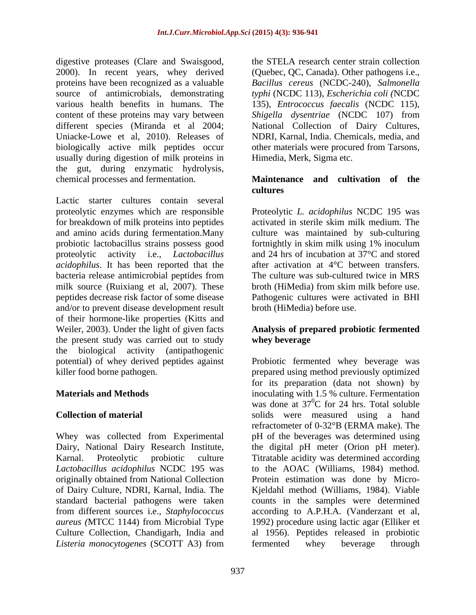digestive proteases (Clare and Swaisgood, 2000). In recent years, whey derived (Quebec, QC, Canada). Other pathogens i.e., proteins have been recognized as a valuable source of antimicrobials, demonstrating *typhi* (NCDC 113), *Escherichia coli (*NCDC various health benefits in humans. The 135), *Entrococcus faecalis* (NCDC 115), content of these proteins may vary between *Shigella dysentriae* (NCDC 107) from different species (Miranda et al 2004; National Collection of Dairy Cultures, Uniacke-Lowe et al, 2010). Releases of NDRI, Karnal, India. Chemicals, media, and biologically active milk peptides occur other materials were procured from Tarsons, usually during digestion of milk proteins in the gut, during enzymatic hydrolysis, chemical processes and fermentation. **Maintenance and cultivation of the**

Lactic starter cultures contain several proteolytic enzymes which are responsible Proteolytic *L. acidophilus* NCDC 195 was for breakdown of milk proteins into peptides activated in sterile skim milk medium. The and amino acids during fermentation.Many culture was maintained by sub-culturing probiotic lactobacillus strains possess good fortnightly in skim milk using 1% inoculum proteolytic activity i.e., *Lactobacillus*  and 24 hrs of incubation at 37°C and stored *acidophilus*. It has been reported that the bacteria release antimicrobial peptides from milk source (Ruixiang et al, 2007). These broth (HiMedia) from skim milk before use. peptides decrease risk factor of some disease Pathogenic cultures were activated in BHI and/or to prevent disease development result of their hormone-like properties (Kitts and Weiler, 2003). Under the light of given facts **Analysis of prepared probiotic fermented** the present study was carried out to study whey beverage the biological activity (antipathogenic

Whey was collected from Experimental of Dairy Culture, NDRI, Karnal, India. The

the STELA research center strain collection *Bacillus cereus* (NCDC-240), *Salmonella*  Himedia, Merk, Sigma etc.

# **cultures**

after activation at 4°C between transfers. The culture was sub-cultured twice in MRS broth (HiMedia) before use.

## **whey beverage**

potential) of whey derived peptides against Probiotic fermented whey beverage was killer food borne pathogen. prepared using method previously optimized **Materials and Methods**  inoculating with 1.5 % culture. Fermentation **Collection of material**  solids were measured using a hand Dairy, National Dairy Research Institute, the digital pH meter (Orion pH meter). Karnal. Proteolytic probiotic culture Titratable acidity was determined according *Lactobacillus acidophilus* NCDC 195 was to the AOAC (Williams, 1984) method. originally obtained from National Collection Protein estimation was done by Micro standard bacterial pathogens were taken counts in the samples were determined from different sources i.e., *Staphylococcus*  according to A.P.H.A. (Vanderzant et al, *aureus (*MTCC 1144) from Microbial Type 1992) procedure using lactic agar (Elliker et Culture Collection, Chandigarh, India and al 1956). Peptides released in probiotic *Listeria monocytogenes* (SCOTT A3) from for its preparation (data not shown) by was done at  $37^0C$  for 24 hrs. Total soluble  ${}^{0}C$  for 24 hrs. Total soluble refractometer of 0-32°B (ERMA make). The pH of the beverages was determined using Kjeldahl method (Williams, 1984). Viable fermented whey beverage through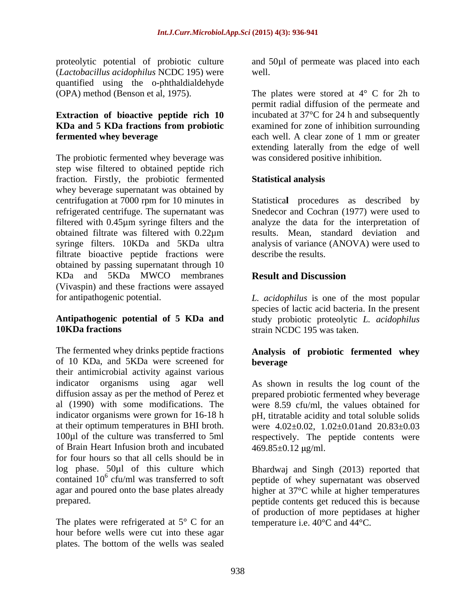proteolytic potential of probiotic culture and 50µl of permeate was placed into each (*Lactobacillus acidophilus* NCDC 195) were quantified using the o-phthaldialdehyde

The probiotic fermented whey beverage was step wise filtered to obtained peptide rich fraction. Firstly, the probiotic fermented whey beverage supernatant was obtained by centrifugation at 7000 rpm for 10 minutes in Statistica**l** procedures as described by refrigerated centrifuge. The supernatant was Snedecor and Cochran (1977) were used to filtered with 0.45µm syringe filters and the obtained filtrate was filtered with 0.22µm syringe filters. 10KDa and 5KDa ultra analysis of variance (ANOVA) were used to filtrate bioactive peptide fractions were obtained by passing supernatant through 10 KDa and 5KDa MWCO membranes (Vivaspin) and these fractions were assayed for antipathogenic potential. *L. acidophilus* is one of the most popular

## **10KDa fractions** strain NCDC 195 was taken.

The fermented whey drinks peptide fractions **Analysis of probiotic fermented whey** of 10 KDa, and 5KDa were screened for their antimicrobial activity against various of Brain Heart Infusion broth and incubated  $469.85 \pm 0.12 \text{ µg/ml}$ . for four hours so that all cells should be in log phase. 50µl of this culture which Bhardwaj and Singh (2013) reported that contained  $10^6$  cfu/ml was transferred to soft peptide of whey supernatant was observed agar and poured onto the base plates already higher at 37°C while at higher temperatures

The plates were refrigerated at  $5^{\circ}$  C for an hour before wells were cut into these agar plates. The bottom of the wells was sealed well.

(OPA) method (Benson et al, 1975). The plates were stored at  $4^{\circ}$  C for 2h to **Extraction of bioactive peptide rich 10** incubated at 37°C for 24 h and subsequently **KDa and 5 KDa fractions from probiotic fermented whey beverage** each well. A clear zone of 1 mm or greater permit radial diffusion of the permeate and examined for zone of inhibition surrounding extending laterally from the edge of well was considered positive inhibition.

### **Statistical analysis**

analyze the data for the interpretation of results. Mean, standard deviation and describe the results.

## **Result and Discussion**

**Antipathogenic potential of 5 KDa and** study probiotic proteolytic *L. acidophilus* species of lactic acid bacteria. In the present strain NCDC 195 was taken.

# **beverage**

indicator organisms using agar well As shown in results the log count of the diffusion assay as per the method of Perez et prepared probiotic fermented whey beverage al (1990) with some modifications. The were 8.59 cfu/ml, the values obtained for indicator organisms were grown for 16-18 h pH, titratable acidity and total soluble solids at their optimum temperatures in BHI broth. were  $4.02\pm0.02$ ,  $1.02\pm0.01$  and  $20.83\pm0.03$ 100µl of the culture was transferred to 5ml respectively. The peptide contents were  $469.85 \pm 0.12$  µg/ml.

prepared. peptide contents get reduced this is because of production of more peptidases at higher temperature i.e. 40°C and 44°C.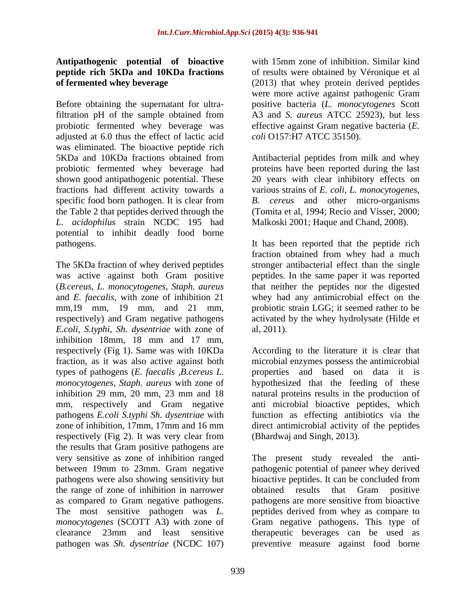## **Antipathogenic potential of bioactive peptide rich 5KDa and 10KDa fractions**

Before obtaining the supernatant for ultra-positive bacteria (*L. monocytogenes* Scott filtration pH of the sample obtained from A3 and *S. aureus* ATCC 25923), but less probiotic fermented whey beverage was effective against Gram negative bacteria (*E.*  adjusted at 6.0 thus the effect of lactic acid was eliminated. The bioactive peptide rich 5KDa and 10KDa fractions obtained from Antibacterial peptides from milk and whey probiotic fermented whey beverage had proteins have been reported during the last shown good antipathogenic potential. These 20 years with clear inhibitory effects on fractions had different activity towards a various strains of *E. coli, L. monocytogenes,* specific food born pathogen. It is clear from B. the Table 2 that peptides derived through the (Tomita et al, 1994; Recio and Visser, 2000; *L. acidophilus* strain NCDC 195 had potential to inhibit deadly food borne pathogens. It has been reported that the peptide rich

The 5KDa fraction of whey derived peptides stronger antibacterial effect than the single was active against both Gram positive peptides. In the same paper it was reported (*B.cereus, L. monocytogenes, Staph. aureus* and *E. faecalis,* with zone of inhibition 21 whey had any antimicrobial effect on the mm, 19 mm, 19 mm, and 21 mm, probiotic strain LGG; it seemed rather to be respectively) and Gram negative pathogens *E.coli, S.typhi, Sh. dysentriae* with zone of inhibition 18mm, 18 mm and 17 mm, pathogens *E.coli S.typhi Sh. dysentriae* with respectively (Fig 2). It was very clear from (Bhardwaj and Singh, 2013). the results that Gram positive pathogens are pathogens were also showing sensitivity but the range of zone of inhibition in narrower as compared to Gram negative pathogens. pathogens are more sensitive from bioactive pathogen was *Sh. dysentriae* (NCDC 107) preventive measure against food borne

**of fermented whey beverage**  (2013) that whey protein derived peptides with 15mm zone of inhibition. Similar kind of results were obtained by Véronique et al were more active against pathogenic Gram *coli* O157:H7 ATCC 35150).

> *B. cereus* and other micro-organisms Malkoski 2001; Haque and Chand, 2008).

fraction obtained from whey had a much that neither the peptides nor the digested activated by the whey hydrolysate (Hilde et al, 2011).

respectively (Fig 1). Same was with 10KDa According to the literature it is clear that fraction, as it was also active against both microbial enzymes possess the antimicrobial types of pathogens (*E. faecalis ,B.cereus L.* properties and based on data it is *monocytogenes, Staph. aureus* with zone of hypothesized that the feeding of these inhibition 29 mm, 20 mm, 23 mm and 18 natural proteins results in the production of mm, respectively and Gram negative anti microbial bioactive peptides, which zone of inhibition, 17mm, 17mm and 16 mm direct antimicrobial activity of the peptides function as effecting antibiotics via the (Bhardwaj and Singh, 2013).

very sensitive as zone of inhibition ranged The present study revealed the anti between 19mm to 23mm. Gram negative pathogenic potential of paneer whey derived The most sensitive pathogen was *L.*  peptides derived from whey as compare to *monocytogenes* (SCOTT A3) with zone of Gram negative pathogens. This type of clearance 23mm and least sensitive therapeutic beverages can be used as bioactive peptides. It can be concluded from obtained results that Gram positive pathogens are more sensitive from bioactive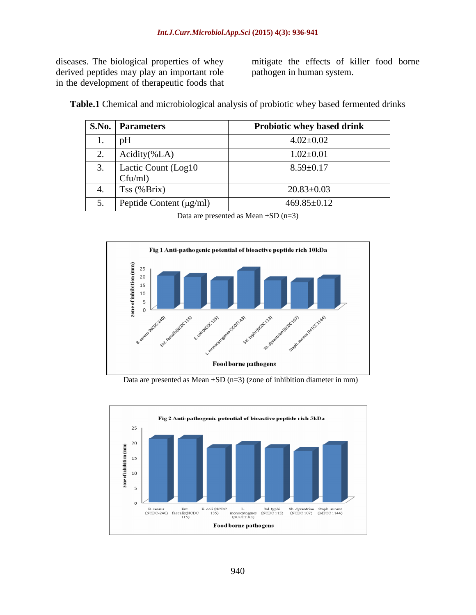diseases. The biological properties of whey derived peptides may play an important role in the development of therapeutic foods that mitigate the effects of killer food borne pathogen in human system.

|   | <b>S.No. Parameters</b>        | <b>Probiotic whey based drink</b> |
|---|--------------------------------|-----------------------------------|
| . | $ p_{\text{L}} $               | $4.02 \pm 0.02$                   |
|   | Acidity(%A)                    | $1.02 \pm 0.01$                   |
|   | Lactic Count (Log10<br>Cfu/ml) | $8.59 \pm 0.17$                   |
|   | $Tss$ (% $Brix$ )              | $20.83 \pm 0.03$                  |
|   | Peptide Content $(\mu g/ml)$   | $469.85 \pm 0.12$                 |

**Table.1** Chemical and microbiological analysis of probiotic whey based fermented drinks

Data are presented as Mean ±SD (n=3)



Data are presented as Mean  $\pm SD$  (n=3) (zone of inhibition diameter in mm)